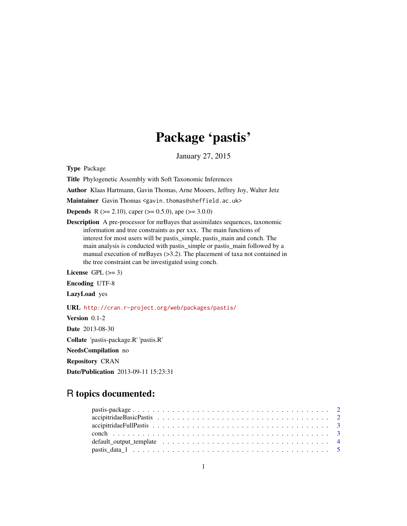# Package 'pastis'

January 27, 2015

Type Package

Title Phylogenetic Assembly with Soft Taxonomic Inferences

Author Klaas Hartmann, Gavin Thomas, Arne Mooers, Jeffrey Joy, Walter Jetz

Maintainer Gavin Thomas <gavin.thomas@sheffield.ac.uk>

**Depends** R ( $>= 2.10$ ), caper ( $>= 0.5.0$ ), ape ( $>= 3.0.0$ )

Description A pre-processor for mrBayes that assimilates sequences, taxonomic information and tree constraints as per xxx. The main functions of interest for most users will be pastis simple, pastis main and conch. The main analysis is conducted with pastis\_simple or pastis\_main followed by a manual execution of mrBayes (>3.2). The placement of taxa not contained in the tree constraint can be investigated using conch.

License GPL  $(>= 3)$ 

Encoding UTF-8

LazyLoad yes

URL <http://cran.r-project.org/web/packages/pastis/>

Version 0.1-2 Date 2013-08-30

Collate 'pastis-package.R' 'pastis.R'

NeedsCompilation no

Repository CRAN

Date/Publication 2013-09-11 15:23:31

# R topics documented: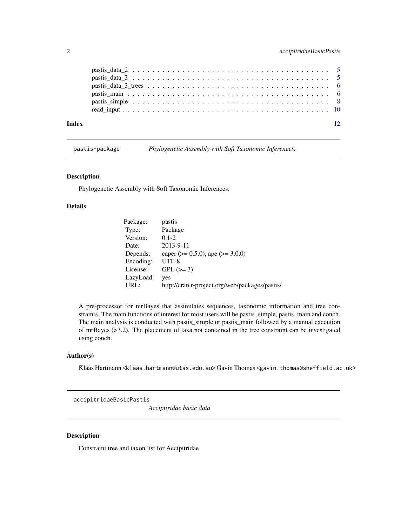<span id="page-1-0"></span>

| Index | 12 |
|-------|----|
|       |    |
|       |    |
|       |    |
|       |    |
|       |    |
|       |    |

pastis-package *Phylogenetic Assembly with Soft Taxonomic Inferences.*

# Description

Phylogenetic Assembly with Soft Taxonomic Inferences.

#### Details

| Package:  | pastis                                         |
|-----------|------------------------------------------------|
| Type:     | Package                                        |
| Version:  | $0.1 - 2$                                      |
| Date:     | 2013-9-11                                      |
| Depends:  | caper ( $> = 0.5.0$ ), ape ( $>= 3.0.0$ )      |
| Encoding: | $UTF-8$                                        |
| License:  | $GPL (=3)$                                     |
| LazyLoad: | yes                                            |
| URL:      | http://cran.r-project.org/web/packages/pastis/ |

A pre-processor for mrBayes that assimilates sequences, taxonomic information and tree constraints. The main functions of interest for most users will be pastis\_simple, pastis\_main and conch. The main analysis is conducted with pastis\_simple or pastis\_main followed by a manual execution of mrBayes (>3.2). The placement of taxa not contained in the tree constraint can be investigated using conch.

#### Author(s)

Klaas Hartmann <klaas.hartmann@utas.edu.au> Gavin Thomas <gavin.thomas@sheffield.ac.uk>

accipitridaeBasicPastis

*Accipitridae basic data*

## Description

Constraint tree and taxon list for Accipitridae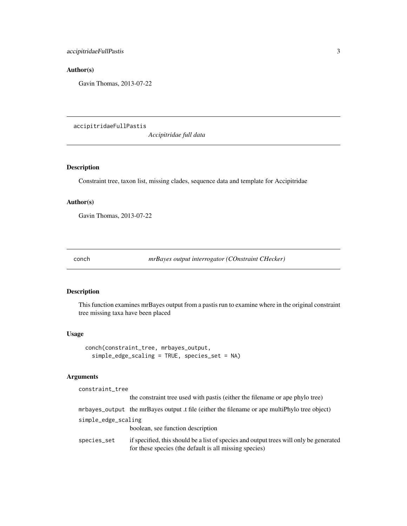# <span id="page-2-0"></span>Author(s)

Gavin Thomas, 2013-07-22

accipitridaeFullPastis

*Accipitridae full data*

# Description

Constraint tree, taxon list, missing clades, sequence data and template for Accipitridae

# Author(s)

Gavin Thomas, 2013-07-22

conch *mrBayes output interrogator (COnstraint CHecker)*

# Description

This function examines mrBayes output from a pastis run to examine where in the original constraint tree missing taxa have been placed

#### Usage

```
conch(constraint_tree, mrbayes_output,
  simple_edge_scaling = TRUE, species_set = NA)
```
### Arguments

| constraint_tree     |                                                                                                                                                  |
|---------------------|--------------------------------------------------------------------------------------------------------------------------------------------------|
|                     | the constraint tree used with past is (either the filename or ape phylo tree)                                                                    |
|                     | mrbayes_output the mrBayes output t file (either the filename or ape multiPhylo tree object)                                                     |
| simple_edge_scaling |                                                                                                                                                  |
|                     | boolean, see function description                                                                                                                |
| species_set         | if specified, this should be a list of species and output trees will only be generated<br>for these species (the default is all missing species) |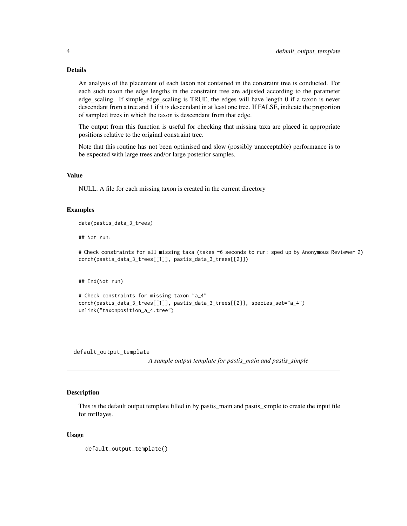#### Details

An analysis of the placement of each taxon not contained in the constraint tree is conducted. For each such taxon the edge lengths in the constraint tree are adjusted according to the parameter edge\_scaling. If simple\_edge\_scaling is TRUE, the edges will have length 0 if a taxon is never descendant from a tree and 1 if it is descendant in at least one tree. If FALSE, indicate the proportion of sampled trees in which the taxon is descendant from that edge.

The output from this function is useful for checking that missing taxa are placed in appropriate positions relative to the original constraint tree.

Note that this routine has not been optimised and slow (possibly unacceptable) performance is to be expected with large trees and/or large posterior samples.

# Value

NULL. A file for each missing taxon is created in the current directory

#### Examples

```
data(pastis_data_3_trees)
```
## Not run:

# Check constraints for all missing taxa (takes ~6 seconds to run: sped up by Anonymous Reviewer 2) conch(pastis\_data\_3\_trees[[1]], pastis\_data\_3\_trees[[2]])

## End(Not run)

```
# Check constraints for missing taxon "a_4"
conch(pastis_data_3_trees[[1]], pastis_data_3_trees[[2]], species_set="a_4")
unlink("taxonposition_a_4.tree")
```
<span id="page-3-1"></span>default\_output\_template

*A sample output template for pastis\_main and pastis\_simple*

#### Description

This is the default output template filled in by pastis main and pastis simple to create the input file for mrBayes.

#### Usage

```
default_output_template()
```
<span id="page-3-0"></span>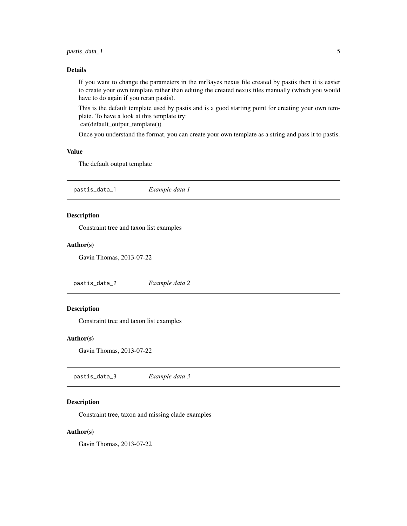# <span id="page-4-0"></span>pastis\_data\_1 5

#### Details

If you want to change the parameters in the mrBayes nexus file created by pastis then it is easier to create your own template rather than editing the created nexus files manually (which you would have to do again if you reran pastis).

This is the default template used by pastis and is a good starting point for creating your own template. To have a look at this template try:

cat(default\_output\_template())

Once you understand the format, you can create your own template as a string and pass it to pastis.

#### Value

The default output template

pastis\_data\_1 *Example data 1*

# Description

Constraint tree and taxon list examples

# Author(s)

Gavin Thomas, 2013-07-22

pastis\_data\_2 *Example data 2*

#### Description

Constraint tree and taxon list examples

#### Author(s)

Gavin Thomas, 2013-07-22

pastis\_data\_3 *Example data 3*

#### Description

Constraint tree, taxon and missing clade examples

# Author(s)

Gavin Thomas, 2013-07-22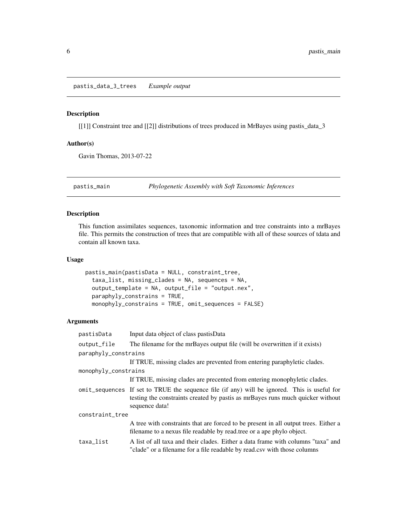<span id="page-5-0"></span>pastis\_data\_3\_trees *Example output*

#### Description

[[1]] Constraint tree and [[2]] distributions of trees produced in MrBayes using pastis\_data\_3

#### Author(s)

Gavin Thomas, 2013-07-22

<span id="page-5-1"></span>pastis\_main *Phylogenetic Assembly with Soft Taxonomic Inferences*

#### Description

This function assimilates sequences, taxonomic information and tree constraints into a mrBayes file. This permits the construction of trees that are compatible with all of these sources of tdata and contain all known taxa.

# Usage

```
pastis_main(pastisData = NULL, constraint_tree,
  taxa_list, missing_clades = NA, sequences = NA,
  output_template = NA, output_file = "output.nex",
  paraphyly_constrains = TRUE,
  monophyly_constrains = TRUE, omit_sequences = FALSE)
```
# Arguments

| pastisData           | Input data object of class pastisData                                                                                                                                                             |  |
|----------------------|---------------------------------------------------------------------------------------------------------------------------------------------------------------------------------------------------|--|
| output_file          | The filename for the mrBayes output file (will be overwritten if it exists)                                                                                                                       |  |
| paraphyly_constrains |                                                                                                                                                                                                   |  |
|                      | If TRUE, missing clades are prevented from entering paraphyletic clades.                                                                                                                          |  |
| monophyly_constrains |                                                                                                                                                                                                   |  |
|                      | If TRUE, missing clades are precented from entering monophyletic clades.                                                                                                                          |  |
|                      | omit_sequences If set to TRUE the sequence file (if any) will be ignored. This is useful for<br>testing the constraints created by pastis as mr Bayes runs much quicker without<br>sequence data! |  |
| constraint_tree      |                                                                                                                                                                                                   |  |
|                      | A tree with constraints that are forced to be present in all output trees. Either a<br>filename to a nexus file readable by read tree or a ape phylo object.                                      |  |
| taxa_list            | A list of all taxa and their clades. Either a data frame with columns "taxa" and<br>"clade" or a filename for a file readable by read.csy with those columns                                      |  |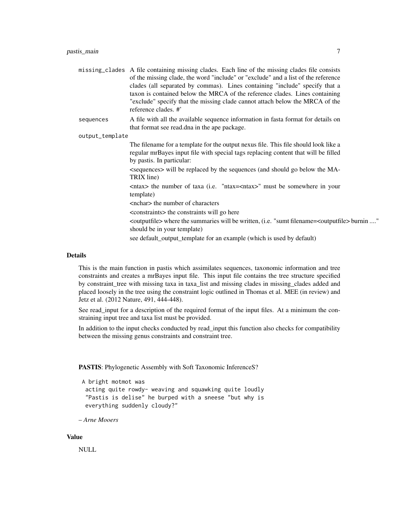|                 | missing_clades A file containing missing clades. Each line of the missing clades file consists<br>of the missing clade, the word "include" or "exclude" and a list of the reference<br>clades (all separated by commas). Lines containing "include" specify that a<br>taxon is contained below the MRCA of the reference clades. Lines containing<br>"exclude" specify that the missing clade cannot attach below the MRCA of the<br>reference clades. #' |
|-----------------|-----------------------------------------------------------------------------------------------------------------------------------------------------------------------------------------------------------------------------------------------------------------------------------------------------------------------------------------------------------------------------------------------------------------------------------------------------------|
| sequences       | A file with all the available sequence information in fasta format for details on<br>that format see read.dna in the ape package.                                                                                                                                                                                                                                                                                                                         |
| output_template |                                                                                                                                                                                                                                                                                                                                                                                                                                                           |
|                 | The filename for a template for the output nexus file. This file should look like a<br>regular mrBayes input file with special tags replacing content that will be filled<br>by pastis. In particular:                                                                                                                                                                                                                                                    |
|                 | -sequences will be replaced by the sequences (and should go below the MA-<br>TRIX line)                                                                                                                                                                                                                                                                                                                                                                   |
|                 | $\langle$ ntax> the number of taxa (i.e. "ntax= $\langle$ ntax>" must be somewhere in your<br>template)                                                                                                                                                                                                                                                                                                                                                   |
|                 | <nchar> the number of characters</nchar>                                                                                                                                                                                                                                                                                                                                                                                                                  |
|                 | <constraints> the constraints will go here</constraints>                                                                                                                                                                                                                                                                                                                                                                                                  |
|                 | <outputfile> where the summaries will be written, (i.e. "sumt filename=<outputfile> burnin "<br/>should be in your template)</outputfile></outputfile>                                                                                                                                                                                                                                                                                                    |

see default\_output\_template for an example (which is used by default)

# Details

This is the main function in pastis which assimilates sequences, taxonomic information and tree constraints and creates a mrBayes input file. This input file contains the tree structure specified by constraint\_tree with missing taxa in taxa\_list and missing clades in missing\_clades added and placed loosely in the tree using the constraint logic outlined in Thomas et al. MEE (in review) and Jetz et al. (2012 Nature, 491, 444-448).

See read\_input for a description of the required format of the input files. At a minimum the constraining input tree and taxa list must be provided.

In addition to the input checks conducted by read\_input this function also checks for compatibility between the missing genus constraints and constraint tree.

PASTIS: Phylogenetic Assembly with Soft Taxonomic InferenceS?

```
A bright motmot was
 acting quite rowdy- weaving and squawking quite loudly
 "Pastis is delise" he burped with a sneese "but why is
 everything suddenly cloudy?"
```

```
– Arne Mooers
```
#### Value

NULL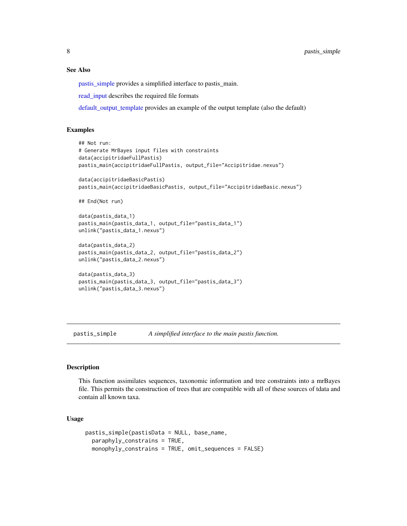#### See Also

[pastis\\_simple](#page-7-1) provides a simplified interface to pastis\_main.

[read\\_input](#page-9-1) describes the required file formats

[default\\_output\\_template](#page-3-1) provides an example of the output template (also the default)

# Examples

```
## Not run:
# Generate MrBayes input files with constraints
data(accipitridaeFullPastis)
pastis_main(accipitridaeFullPastis, output_file="Accipitridae.nexus")
data(accipitridaeBasicPastis)
pastis_main(accipitridaeBasicPastis, output_file="AccipitridaeBasic.nexus")
## End(Not run)
data(pastis_data_1)
pastis_main(pastis_data_1, output_file="pastis_data_1")
unlink("pastis_data_1.nexus")
data(pastis_data_2)
pastis_main(pastis_data_2, output_file="pastis_data_2")
unlink("pastis_data_2.nexus")
data(pastis_data_3)
pastis_main(pastis_data_3, output_file="pastis_data_3")
unlink("pastis_data_3.nexus")
```
<span id="page-7-1"></span>pastis\_simple *A simplified interface to the main pastis function.*

#### Description

This function assimilates sequences, taxonomic information and tree constraints into a mrBayes file. This permits the construction of trees that are compatible with all of these sources of tdata and contain all known taxa.

#### Usage

```
pastis_simple(pastisData = NULL, base_name,
 paraphyly_constrains = TRUE,
 monophyly_constrains = TRUE, omit_sequences = FALSE)
```
<span id="page-7-0"></span>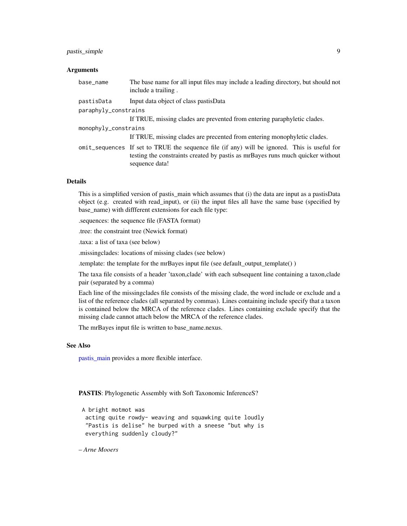#### <span id="page-8-0"></span>pastis\_simple 9

#### **Arguments**

| base_name            | The base name for all input files may include a leading directory, but should not<br>include a trailing.                                                                                        |
|----------------------|-------------------------------------------------------------------------------------------------------------------------------------------------------------------------------------------------|
| pastisData           | Input data object of class pastisData                                                                                                                                                           |
| paraphyly_constrains |                                                                                                                                                                                                 |
|                      | If TRUE, missing clades are prevented from entering paraphyletic clades.                                                                                                                        |
| monophyly_constrains |                                                                                                                                                                                                 |
|                      | If TRUE, missing clades are precented from entering monophyletic clades.                                                                                                                        |
|                      | omit_sequences If set to TRUE the sequence file (if any) will be ignored. This is useful for<br>testing the constraints created by past as mr Bayes runs much quicker without<br>sequence data! |

#### Details

This is a simplified version of pastis\_main which assumes that (i) the data are input as a pastisData object (e.g. created with read\_input), or (ii) the input files all have the same base (specified by base\_name) with diffferent extensions for each file type:

.sequences: the sequence file (FASTA format)

.tree: the constraint tree (Newick format)

.taxa: a list of taxa (see below)

.missingclades: locations of missing clades (see below)

.template: the template for the mrBayes input file (see default\_output\_template() )

The taxa file consists of a header 'taxon,clade' with each subsequent line containing a taxon,clade pair (separated by a comma)

Each line of the missingclades file consists of the missing clade, the word include or exclude and a list of the reference clades (all separated by commas). Lines containing include specify that a taxon is contained below the MRCA of the reference clades. Lines containing exclude specify that the missing clade cannot attach below the MRCA of the reference clades.

The mrBayes input file is written to base\_name.nexus.

#### See Also

[pastis\\_main](#page-5-1) provides a more flexible interface.

PASTIS: Phylogenetic Assembly with Soft Taxonomic InferenceS?

```
A bright motmot was
 acting quite rowdy- weaving and squawking quite loudly
 "Pastis is delise" he burped with a sneese "but why is
 everything suddenly cloudy?"
```
– *Arne Mooers*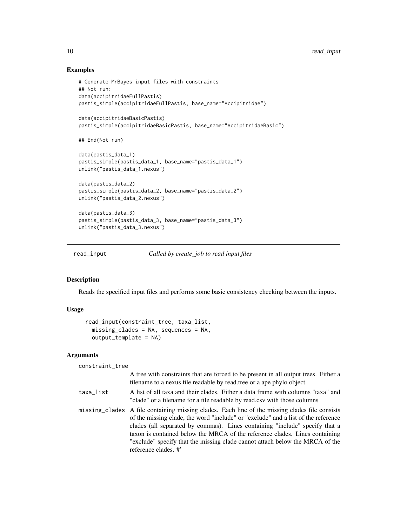#### Examples

```
# Generate MrBayes input files with constraints
## Not run:
data(accipitridaeFullPastis)
pastis_simple(accipitridaeFullPastis, base_name="Accipitridae")
data(accipitridaeBasicPastis)
pastis_simple(accipitridaeBasicPastis, base_name="AccipitridaeBasic")
## End(Not run)
data(pastis_data_1)
pastis_simple(pastis_data_1, base_name="pastis_data_1")
unlink("pastis_data_1.nexus")
data(pastis_data_2)
pastis_simple(pastis_data_2, base_name="pastis_data_2")
unlink("pastis_data_2.nexus")
data(pastis_data_3)
pastis_simple(pastis_data_3, base_name="pastis_data_3")
unlink("pastis_data_3.nexus")
```
<span id="page-9-1"></span>read\_input *Called by create\_job to read input files*

# Description

Reads the specified input files and performs some basic consistency checking between the inputs.

#### Usage

```
read_input(constraint_tree, taxa_list,
 missing_clades = NA, sequences = NA,
 output_template = NA)
```
# Arguments

```
constraint_tree
```

|           | A tree with constraints that are forced to be present in all output trees. Either a<br>filename to a nexus file readable by read tree or a ape phylo object.                                                                                                                                                                                                                                                                                              |
|-----------|-----------------------------------------------------------------------------------------------------------------------------------------------------------------------------------------------------------------------------------------------------------------------------------------------------------------------------------------------------------------------------------------------------------------------------------------------------------|
| taxa_list | A list of all taxa and their clades. Either a data frame with columns "taxa" and<br>"clade" or a filename for a file readable by read.csv with those columns                                                                                                                                                                                                                                                                                              |
|           | missing clades A file containing missing clades. Each line of the missing clades file consists<br>of the missing clade, the word "include" or "exclude" and a list of the reference<br>clades (all separated by commas). Lines containing "include" specify that a<br>taxon is contained below the MRCA of the reference clades. Lines containing<br>"exclude" specify that the missing clade cannot attach below the MRCA of the<br>reference clades. #' |

<span id="page-9-0"></span>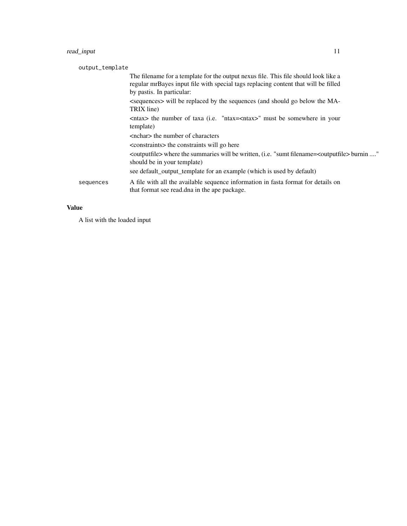# read\_input 11

| output_template |                                                                                                                                                                                                        |
|-----------------|--------------------------------------------------------------------------------------------------------------------------------------------------------------------------------------------------------|
|                 | The filename for a template for the output nexus file. This file should look like a<br>regular mrBayes input file with special tags replacing content that will be filled<br>by pastis. In particular: |
|                 | -sequences will be replaced by the sequences (and should go below the MA-<br>TRIX line)                                                                                                                |
|                 | <ntax> the number of taxa (i.e. "ntax=<ntax>" must be somewhere in your<br/>template)</ntax></ntax>                                                                                                    |
|                 | <nchar> the number of characters</nchar>                                                                                                                                                               |
|                 | <constraints> the constraints will go here</constraints>                                                                                                                                               |
|                 | <outputfile> where the summaries will be written, (i.e. "sumt filename=<outputfile> burnin "<br/>should be in your template)</outputfile></outputfile>                                                 |
|                 | see default_output_template for an example (which is used by default)                                                                                                                                  |
| sequences       | A file with all the available sequence information in fasta format for details on<br>that format see read.dna in the ape package.                                                                      |
|                 |                                                                                                                                                                                                        |

# Value

A list with the loaded input